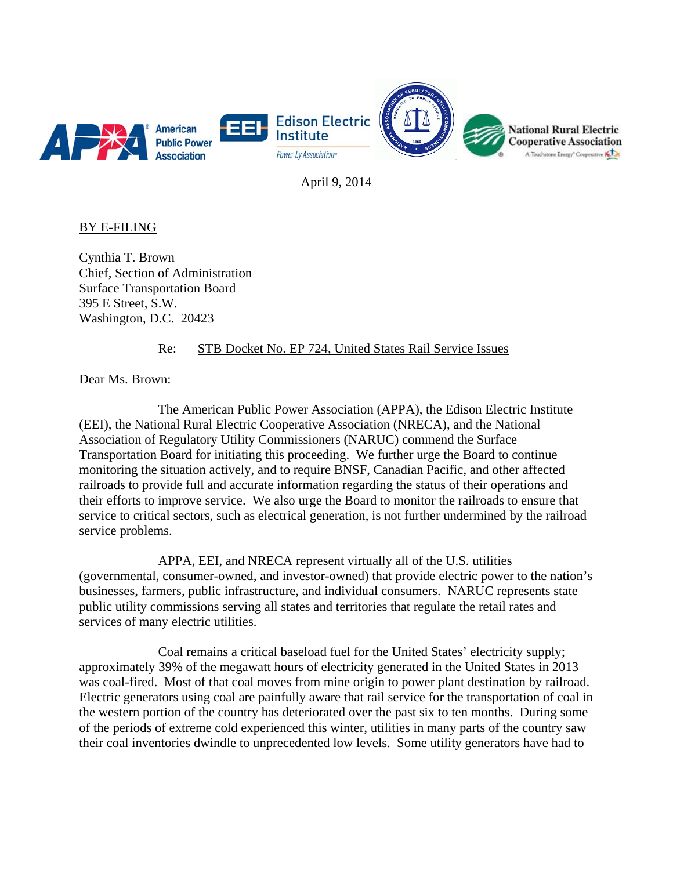

April 9, 2014

BY E-FILING

Cynthia T. Brown Chief, Section of Administration Surface Transportation Board 395 E Street, S.W. Washington, D.C. 20423

## Re: STB Docket No. EP 724, United States Rail Service Issues

Dear Ms. Brown:

 The American Public Power Association (APPA), the Edison Electric Institute (EEI), the National Rural Electric Cooperative Association (NRECA), and the National Association of Regulatory Utility Commissioners (NARUC) commend the Surface Transportation Board for initiating this proceeding. We further urge the Board to continue monitoring the situation actively, and to require BNSF, Canadian Pacific, and other affected railroads to provide full and accurate information regarding the status of their operations and their efforts to improve service. We also urge the Board to monitor the railroads to ensure that service to critical sectors, such as electrical generation, is not further undermined by the railroad service problems.

 APPA, EEI, and NRECA represent virtually all of the U.S. utilities (governmental, consumer-owned, and investor-owned) that provide electric power to the nation's businesses, farmers, public infrastructure, and individual consumers. NARUC represents state public utility commissions serving all states and territories that regulate the retail rates and services of many electric utilities.

 Coal remains a critical baseload fuel for the United States' electricity supply; approximately 39% of the megawatt hours of electricity generated in the United States in 2013 was coal-fired. Most of that coal moves from mine origin to power plant destination by railroad. Electric generators using coal are painfully aware that rail service for the transportation of coal in the western portion of the country has deteriorated over the past six to ten months. During some of the periods of extreme cold experienced this winter, utilities in many parts of the country saw their coal inventories dwindle to unprecedented low levels. Some utility generators have had to